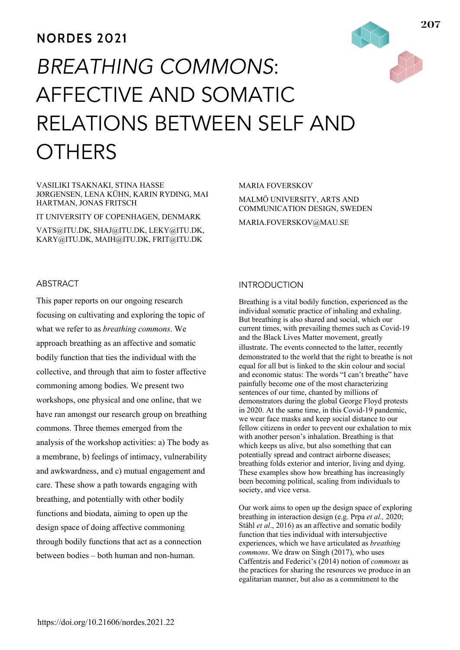# **NORDES 2021**

# *BREATHING COMMONS*: AFFECTIVE AND SOMATIC RELATIONS BETWEEN SELF AND **OTHERS**

#### VASILIKI TSAKNAKI, STINA HASSE JØRGENSEN, LENA KÜHN, KARIN RYDING, MAI HARTMAN, JONAS FRITSCH

IT UNIVERSITY OF COPENHAGEN, DENMARK

VATS@ITU.DK, SHAJ@ITU.DK, LEKY@ITU.DK, KARY@ITU.DK, MAIH@ITU.DK, FRIT@ITU.DK

#### MARIA FOVERSKOV

MALMÖ UNIVERSITY, ARTS AND COMMUNICATION DESIGN, SWEDEN

MARIA.FOVERSKOV@MAU.SE

# ABSTRACT

This paper reports on our ongoing research focusing on cultivating and exploring the topic of what we refer to as *breathing commons*. We approach breathing as an affective and somatic bodily function that ties the individual with the collective, and through that aim to foster affective commoning among bodies. We present two workshops, one physical and one online, that we have ran amongst our research group on breathing commons. Three themes emerged from the analysis of the workshop activities: a) The body as a membrane, b) feelings of intimacy, vulnerability and awkwardness, and c) mutual engagement and care. These show a path towards engaging with breathing, and potentially with other bodily functions and biodata, aiming to open up the design space of doing affective commoning through bodily functions that act as a connection between bodies – both human and non-human.

### INTRODUCTION

Breathing is a vital bodily function, experienced as the individual somatic practice of inhaling and exhaling. But breathing is also shared and social, which our current times, with prevailing themes such as Covid-19 and the Black Lives Matter movement, greatly illustrate. The events connected to the latter, recently demonstrated to the world that the right to breathe is not equal for all but is linked to the skin colour and social and economic status: The words "I can't breathe" have painfully become one of the most characterizing sentences of our time, chanted by millions of demonstrators during the global George Floyd protests in 2020. At the same time, in this Covid-19 pandemic, we wear face masks and keep social distance to our fellow citizens in order to prevent our exhalation to mix with another person's inhalation. Breathing is that which keeps us alive, but also something that can potentially spread and contract airborne diseases; breathing folds exterior and interior, living and dying. These examples show how breathing has increasingly been becoming political, scaling from individuals to society, and vice versa.

Our work aims to open up the design space of exploring breathing in interaction design (e.g. Prpa *et al.,* 2020; Ståhl *et al*., 2016) as an affective and somatic bodily function that ties individual with intersubjective experiences, which we have articulated as *breathing commons*. We draw on Singh (2017), who uses Caffentzis and Federici's (2014) notion of *commons* as the practices for sharing the resources we produce in an egalitarian manner, but also as a commitment to the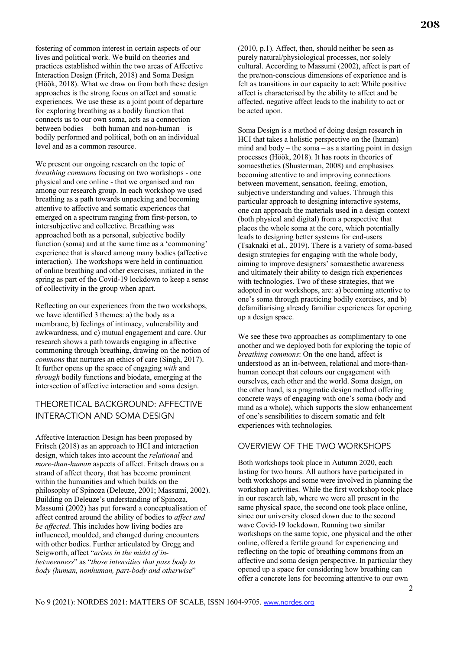fostering of common interest in certain aspects of our lives and political work. We build on theories and practices established within the two areas of Affective Interaction Design (Fritch, 2018) and Soma Design (Höök, 2018). What we draw on from both these design approaches is the strong focus on affect and somatic experiences. We use these as a joint point of departure for exploring breathing as a bodily function that connects us to our own soma, acts as a connection between bodies – both human and non-human – is bodily performed and political, both on an individual level and as a common resource.

We present our ongoing research on the topic of *breathing commons* focusing on two workshops - one physical and one online - that we organised and ran among our research group. In each workshop we used breathing as a path towards unpacking and becoming attentive to affective and somatic experiences that emerged on a spectrum ranging from first-person, to intersubjective and collective. Breathing was approached both as a personal, subjective bodily function (soma) and at the same time as a 'commoning' experience that is shared among many bodies (affective interaction). The workshops were held in continuation of online breathing and other exercises, initiated in the spring as part of the Covid-19 lockdown to keep a sense of collectivity in the group when apart.

Reflecting on our experiences from the two workshops, we have identified 3 themes: a) the body as a membrane, b) feelings of intimacy, vulnerability and awkwardness, and c) mutual engagement and care. Our research shows a path towards engaging in affective commoning through breathing, drawing on the notion of *commons* that nurtures an ethics of care (Singh, 2017). It further opens up the space of engaging *with* and *through* bodily functions and biodata, emerging at the intersection of affective interaction and soma design.

# THEORETICAL BACKGROUND: AFFECTIVE INTERACTION AND SOMA DESIGN

Affective Interaction Design has been proposed by Fritsch (2018) as an approach to HCI and interaction design, which takes into account the *relational* and *more-than-human* aspects of affect. Fritsch draws on a strand of affect theory, that has become prominent within the humanities and which builds on the philosophy of Spinoza (Deleuze, 2001; Massumi, 2002). Building on Deleuze's understanding of Spinoza, Massumi (2002) has put forward a conceptualisation of affect centred around the ability of bodies to *affect and be affected*. This includes how living bodies are influenced, moulded, and changed during encounters with other bodies. Further articulated by Gregg and Seigworth, affect "*arises in the midst of inbetweenness*" as "*those intensities that pass body to body (human, nonhuman, part-body and otherwise*"

(2010, p.1). Affect, then, should neither be seen as purely natural/physiological processes, nor solely cultural. According to Massumi (2002), affect is part of the pre/non-conscious dimensions of experience and is felt as transitions in our capacity to act: While positive affect is characterised by the ability to affect and be affected, negative affect leads to the inability to act or be acted upon.

Soma Design is a method of doing design research in HCI that takes a holistic perspective on the (human) mind and body – the soma – as a starting point in design processes (Höök, 2018). It has roots in theories of somaesthetics (Shusterman, 2008) and emphasises becoming attentive to and improving connections between movement, sensation, feeling, emotion, subjective understanding and values. Through this particular approach to designing interactive systems, one can approach the materials used in a design context (both physical and digital) from a perspective that places the whole soma at the core, which potentially leads to designing better systems for end-users (Tsaknaki et al., 2019). There is a variety of soma-based design strategies for engaging with the whole body, aiming to improve designers' somaesthetic awareness and ultimately their ability to design rich experiences with technologies. Two of these strategies, that we adopted in our workshops, are: a) becoming attentive to one's soma through practicing bodily exercises, and b) defamiliarising already familiar experiences for opening up a design space.

We see these two approaches as complimentary to one another and we deployed both for exploring the topic of *breathing commons*: On the one hand, affect is understood as an in-between, relational and more-thanhuman concept that colours our engagement with ourselves, each other and the world. Soma design, on the other hand, is a pragmatic design method offering concrete ways of engaging with one's soma (body and mind as a whole), which supports the slow enhancement of one's sensibilities to discern somatic and felt experiences with technologies.

## OVERVIEW OF THE TWO WORKSHOPS

Both workshops took place in Autumn 2020, each lasting for two hours. All authors have participated in both workshops and some were involved in planning the workshop activities. While the first workshop took place in our research lab, where we were all present in the same physical space, the second one took place online, since our university closed down due to the second wave Covid-19 lockdown. Running two similar workshops on the same topic, one physical and the other online, offered a fertile ground for experiencing and reflecting on the topic of breathing commons from an affective and soma design perspective. In particular they opened up a space for considering how breathing can offer a concrete lens for becoming attentive to our own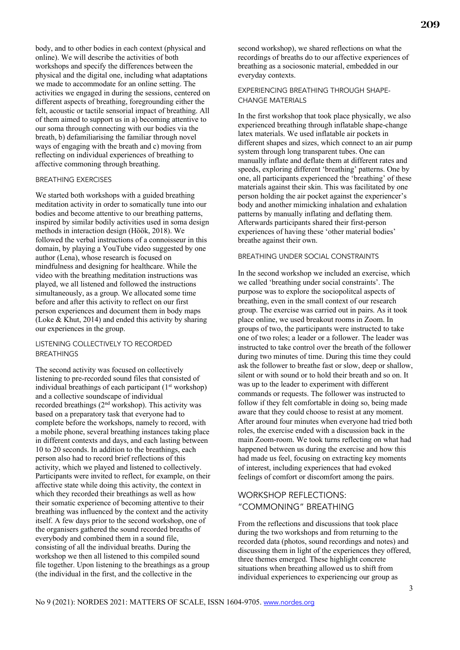body, and to other bodies in each context (physical and online). We will describe the activities of both workshops and specify the differences between the physical and the digital one, including what adaptations we made to accommodate for an online setting. The activities we engaged in during the sessions, centered on different aspects of breathing, foregrounding either the felt, acoustic or tactile sensorial impact of breathing. All of them aimed to support us in a) becoming attentive to our soma through connecting with our bodies via the breath, b) defamiliarising the familiar through novel ways of engaging with the breath and c) moving from reflecting on individual experiences of breathing to affective commoning through breathing.

#### BREATHING EXERCISES

We started both workshops with a guided breathing meditation activity in order to somatically tune into our bodies and become attentive to our breathing patterns, inspired by similar bodily activities used in soma design methods in interaction design (Höök, 2018). We followed the verbal instructions of a connoisseur in this domain, by playing a YouTube video suggested by one author (Lena), whose research is focused on mindfulness and designing for healthcare. While the video with the breathing meditation instructions was played, we all listened and followed the instructions simultaneously, as a group. We allocated some time before and after this activity to reflect on our first person experiences and document them in body maps (Loke & Khut, 2014) and ended this activity by sharing our experiences in the group.

#### LISTENING COLLECTIVELY TO RECORDED **BREATHINGS**

The second activity was focused on collectively listening to pre-recorded sound files that consisted of individual breathings of each participant  $(1<sup>st</sup>$  workshop) and a collective soundscape of individual recorded breathings  $(2<sup>nd</sup>$  workshop). This activity was based on a preparatory task that everyone had to complete before the workshops, namely to record, with a mobile phone, several breathing instances taking place in different contexts and days, and each lasting between 10 to 20 seconds. In addition to the breathings, each person also had to record brief reflections of this activity, which we played and listened to collectively. Participants were invited to reflect, for example, on their affective state while doing this activity, the context in which they recorded their breathings as well as how their somatic experience of becoming attentive to their breathing was influenced by the context and the activity itself. A few days prior to the second workshop, one of the organisers gathered the sound recorded breaths of everybody and combined them in a sound file, consisting of all the individual breaths. During the workshop we then all listened to this compiled sound file together. Upon listening to the breathings as a group (the individual in the first, and the collective in the

second workshop), we shared reflections on what the recordings of breaths do to our affective experiences of breathing as a sociosonic material, embedded in our everyday contexts.

#### EXPERIENCING BREATHING THROUGH SHAPE-CHANGE MATERIALS

In the first workshop that took place physically, we also experienced breathing through inflatable shape-change latex materials. We used inflatable air pockets in different shapes and sizes, which connect to an air pump system through long transparent tubes. One can manually inflate and deflate them at different rates and speeds, exploring different 'breathing' patterns. One by one, all participants experienced the 'breathing' of these materials against their skin. This was facilitated by one person holding the air pocket against the experiencer's body and another mimicking inhalation and exhalation patterns by manually inflating and deflating them. Afterwards participants shared their first-person experiences of having these 'other material bodies' breathe against their own.

#### BREATHING UNDER SOCIAL CONSTRAINTS

In the second workshop we included an exercise, which we called 'breathing under social constraints'. The purpose was to explore the sociopolitcal aspects of breathing, even in the small context of our research group. The exercise was carried out in pairs. As it took place online, we used breakout rooms in Zoom. In groups of two, the participants were instructed to take one of two roles; a leader or a follower. The leader was instructed to take control over the breath of the follower during two minutes of time. During this time they could ask the follower to breathe fast or slow, deep or shallow, silent or with sound or to hold their breath and so on. It was up to the leader to experiment with different commands or requests. The follower was instructed to follow if they felt comfortable in doing so, being made aware that they could choose to resist at any moment. After around four minutes when everyone had tried both roles, the exercise ended with a discussion back in the main Zoom-room. We took turns reflecting on what had happened between us during the exercise and how this had made us feel, focusing on extracting key moments of interest, including experiences that had evoked feelings of comfort or discomfort among the pairs.

# WORKSHOP REFLECTIONS: "COMMONING" BREATHING

From the reflections and discussions that took place during the two workshops and from returning to the recorded data (photos, sound recordings and notes) and discussing them in light of the experiences they offered, three themes emerged. These highlight concrete situations when breathing allowed us to shift from individual experiences to experiencing our group as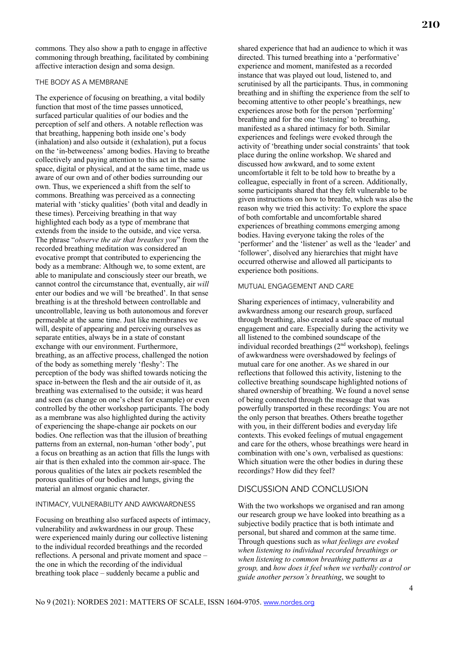commons*.* They also show a path to engage in affective commoning through breathing, facilitated by combining affective interaction design and soma design.

#### THE BODY AS A MEMBRANE

The experience of focusing on breathing, a vital bodily function that most of the time passes unnoticed, surfaced particular qualities of our bodies and the perception of self and others. A notable reflection was that breathing, happening both inside one's body (inhalation) and also outside it (exhalation), put a focus on the 'in-betweeness' among bodies. Having to breathe collectively and paying attention to this act in the same space, digital or physical, and at the same time, made us aware of our own and of other bodies surrounding our own. Thus, we experienced a shift from the self to commons. Breathing was perceived as a connecting material with 'sticky qualities' (both vital and deadly in these times). Perceiving breathing in that way highlighted each body as a type of membrane that extends from the inside to the outside, and vice versa. The phrase "*observe the air that breathes you*" from the recorded breathing meditation was considered an evocative prompt that contributed to experiencing the body as a membrane: Although we, to some extent, are able to manipulate and consciously steer our breath, we cannot control the circumstance that, eventually, air *will* enter our bodies and we will 'be breathed'. In that sense breathing is at the threshold between controllable and uncontrollable, leaving us both autonomous and forever permeable at the same time. Just like membranes we will, despite of appearing and perceiving ourselves as separate entities, always be in a state of constant exchange with our environment. Furthermore, breathing, as an affective process, challenged the notion of the body as something merely 'fleshy': The perception of the body was shifted towards noticing the space in-between the flesh and the air outside of it, as breathing was externalised to the outside; it was heard and seen (as change on one's chest for example) or even controlled by the other workshop participants. The body as a membrane was also highlighted during the activity of experiencing the shape-change air pockets on our bodies. One reflection was that the illusion of breathing patterns from an external, non-human 'other body', put a focus on breathing as an action that fills the lungs with air that is then exhaled into the common air-space. The porous qualities of the latex air pockets resembled the porous qualities of our bodies and lungs, giving the material an almost organic character.

#### INTIMACY, VULNERABILITY AND AWKWARDNESS

Focusing on breathing also surfaced aspects of intimacy, vulnerability and awkwardness in our group. These were experienced mainly during our collective listening to the individual recorded breathings and the recorded reflections. A personal and private moment and space – the one in which the recording of the individual breathing took place – suddenly became a public and

shared experience that had an audience to which it was directed. This turned breathing into a 'performative' experience and moment, manifested as a recorded instance that was played out loud, listened to, and scrutinised by all the participants. Thus, in commoning breathing and in shifting the experience from the self to becoming attentive to other people's breathings, new experiences arose both for the person 'performing' breathing and for the one 'listening' to breathing, manifested as a shared intimacy for both. Similar experiences and feelings were evoked through the activity of 'breathing under social constraints' that took place during the online workshop. We shared and discussed how awkward, and to some extent uncomfortable it felt to be told how to breathe by a colleague, especially in front of a screen. Additionally, some participants shared that they felt vulnerable to be given instructions on how to breathe, which was also the reason why we tried this activity: To explore the space of both comfortable and uncomfortable shared experiences of breathing commons emerging among bodies. Having everyone taking the roles of the 'performer' and the 'listener' as well as the 'leader' and 'follower', disolved any hierarchies that might have occurred otherwise and allowed all participants to experience both positions.

#### MUTUAL ENGAGEMENT AND CARE

Sharing experiences of intimacy, vulnerability and awkwardness among our research group, surfaced through breathing, also created a safe space of mutual engagement and care. Especially during the activity we all listened to the combined soundscape of the individual recorded breathings (2nd workshop), feelings of awkwardness were overshadowed by feelings of mutual care for one another. As we shared in our reflections that followed this activity, listening to the collective breathing soundscape highlighted notions of shared ownership of breathing. We found a novel sense of being connected through the message that was powerfully transported in these recordings: You are not the only person that breathes. Others breathe together with you, in their different bodies and everyday life contexts. This evoked feelings of mutual engagement and care for the others, whose breathings were heard in combination with one's own, verbalised as questions: Which situation were the other bodies in during these recordings? How did they feel?

#### DISCUSSION AND CONCLUSION

With the two workshops we organised and ran among our research group we have looked into breathing as a subjective bodily practice that is both intimate and personal, but shared and common at the same time. Through questions such as *what feelings are evoked when listening to individual recorded breathings or when listening to common breathing patterns as a group,* and *how does it feel when we verbally control or guide another person's breathing*, we sought to